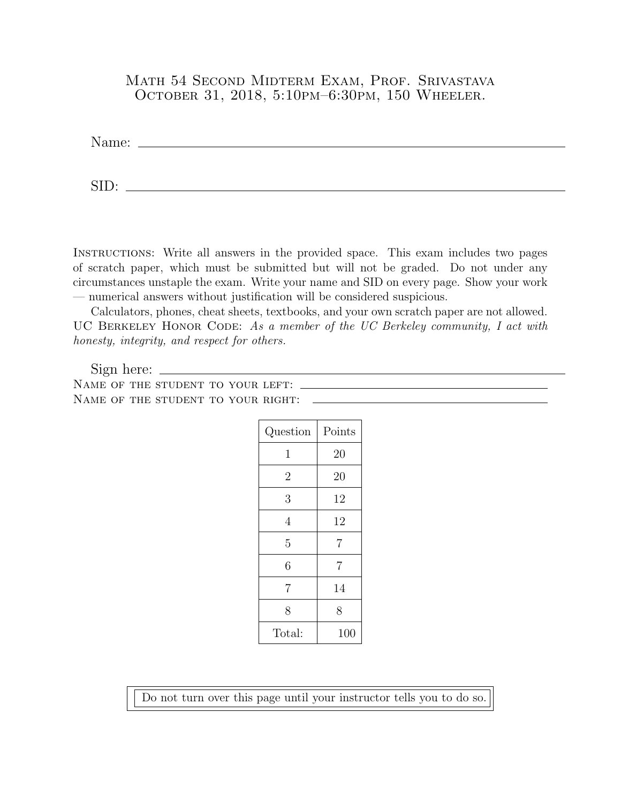## Math 54 Second Midterm Exam, Prof. Srivastava October 31, 2018, 5:10pm–6:30pm, 150 Wheeler.

Name:

SID: The same state of the state of the state of the state of the state of the state of the state of the state of the state of the state of the state of the state of the state of the state of the state of the state of the

Instructions: Write all answers in the provided space. This exam includes two pages of scratch paper, which must be submitted but will not be graded. Do not under any circumstances unstaple the exam. Write your name and SID on every page. Show your work — numerical answers without justification will be considered suspicious.

Calculators, phones, cheat sheets, textbooks, and your own scratch paper are not allowed. UC BERKELEY HONOR CODE: As a member of the UC Berkeley community, I act with honesty, integrity, and respect for others.

Sign here: Name of the student to your left: NAME OF THE STUDENT TO YOUR RIGHT:  $\qquad$ 

| Question       | Points         |
|----------------|----------------|
| $\mathbf 1$    | 20             |
| $\overline{2}$ | 20             |
| 3              | 12             |
| 4              | 12             |
| 5              | $\overline{7}$ |
| 6              | $\overline{7}$ |
| $\overline{7}$ | 14             |
| 8              | 8              |
| Total:         | 100            |

Do not turn over this page until your instructor tells you to do so.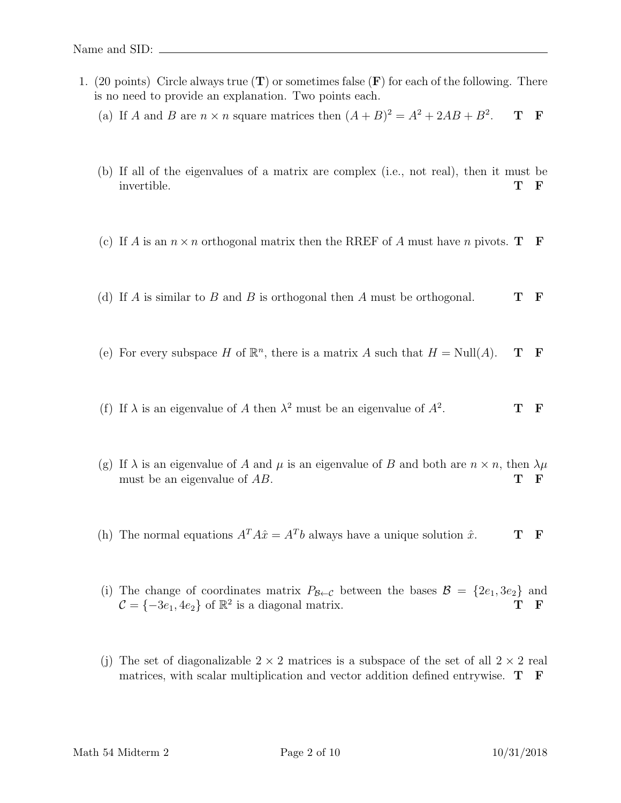- 1. (20 points) Circle always true  $(T)$  or sometimes false  $(F)$  for each of the following. There is no need to provide an explanation. Two points each.
	- (a) If A and B are  $n \times n$  square matrices then  $(A + B)^2 = A^2 + 2AB + B^2$ . T F
	- (b) If all of the eigenvalues of a matrix are complex (i.e., not real), then it must be invertible. The state  $\mathbf{T} \parallel \mathbf{F}$
	- (c) If A is an  $n \times n$  orthogonal matrix then the RREF of A must have n pivots. **T** F
	- (d) If A is similar to B and B is orthogonal then A must be orthogonal.  $\mathbf{T} \quad \mathbf{F}$
	- (e) For every subspace H of  $\mathbb{R}^n$ , there is a matrix A such that  $H = Null(A)$ . **T F**
	- (f) If  $\lambda$  is an eigenvalue of A then  $\lambda^2$  must be an eigenvalue of  $A^2$ . T F
	- (g) If  $\lambda$  is an eigenvalue of A and  $\mu$  is an eigenvalue of B and both are  $n \times n$ , then  $\lambda \mu$ must be an eigenvalue of  $AB$ . T F
	- (h) The normal equations  $A^T A \hat{x} = A^T b$  always have a unique solution  $\hat{x}$ . T F
	- (i) The change of coordinates matrix  $P_{\mathcal{B}\leftarrow\mathcal{C}}$  between the bases  $\mathcal{B} = \{2e_1, 3e_2\}$  and  $\mathcal{C} = \{-3e_1, 4e_2\}$  of  $\mathbb{R}^2$  is a diagonal matrix. T F
	- (j) The set of diagonalizable  $2 \times 2$  matrices is a subspace of the set of all  $2 \times 2$  real matrices, with scalar multiplication and vector addition defined entrywise. T F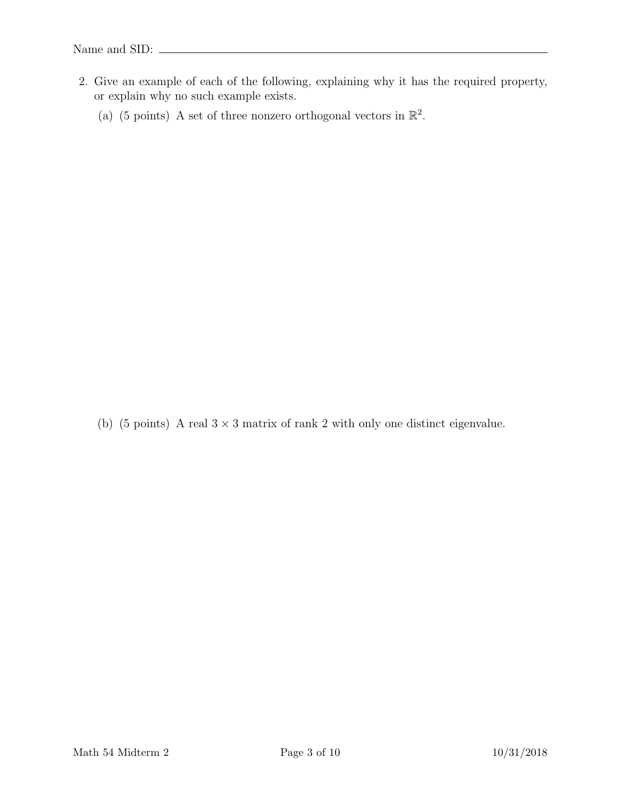- 2. Give an example of each of the following, explaining why it has the required property, or explain why no such example exists.
	- (a) (5 points) A set of three nonzero orthogonal vectors in  $\mathbb{R}^2$ .

(b) (5 points) A real  $3 \times 3$  matrix of rank 2 with only one distinct eigenvalue.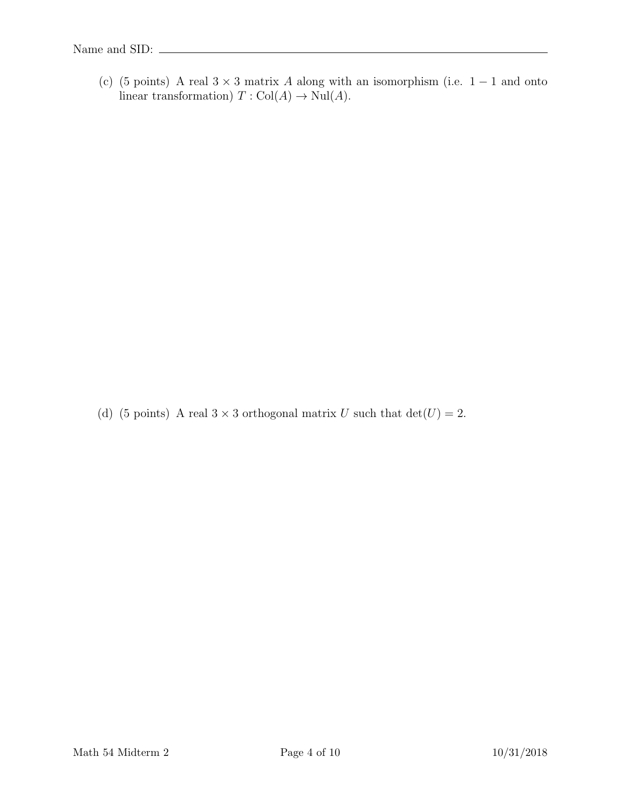(c) (5 points) A real  $3 \times 3$  matrix A along with an isomorphism (i.e. 1 – 1 and onto linear transformation)  $T : \text{Col}(A) \to \text{Nul}(A)$ .

(d) (5 points) A real  $3 \times 3$  orthogonal matrix U such that  $det(U) = 2$ .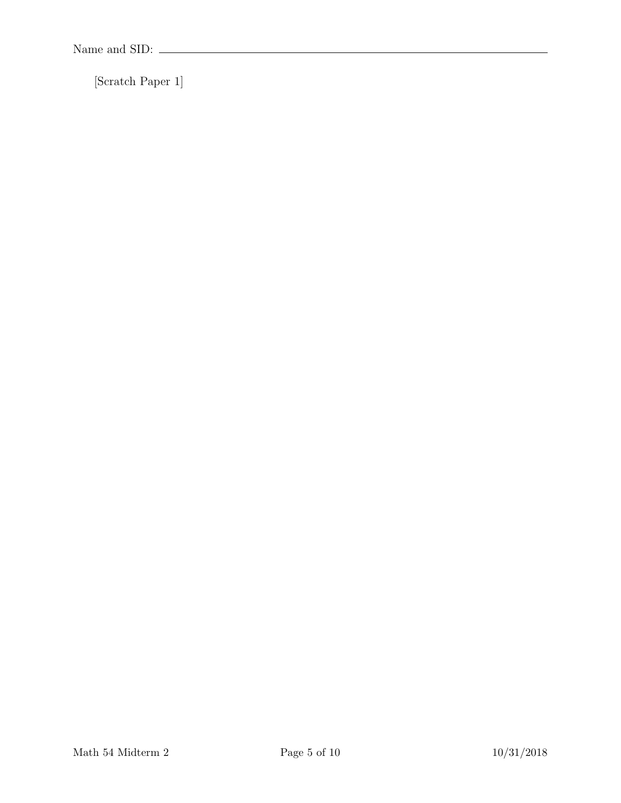[Scratch Paper 1]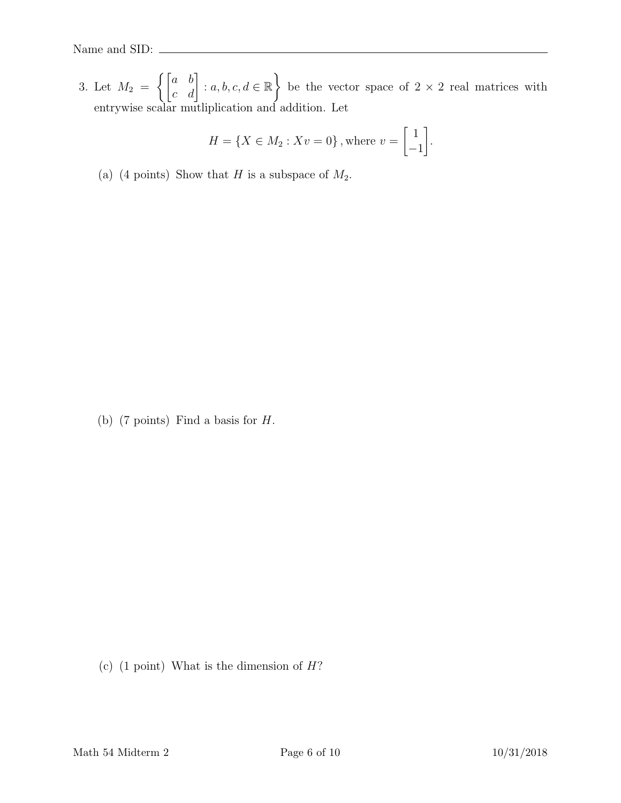3. Let  $M_2 =$  $\left\{ \begin{bmatrix} a & b \\ c & d \end{bmatrix} : a, b, c, d \in \mathbb{R} \right\}$ be the vector space of  $2 \times 2$  real matrices with entrywise scalar mutliplication and addition. Let

$$
H = \{ X \in M_2 : Xv = 0 \}, \text{where } v = \begin{bmatrix} 1 \\ -1 \end{bmatrix}.
$$

(a) (4 points) Show that H is a subspace of  $M_2$ .

(b) (7 points) Find a basis for  $H$ .

(c)  $(1 \text{ point})$  What is the dimension of  $H$ ?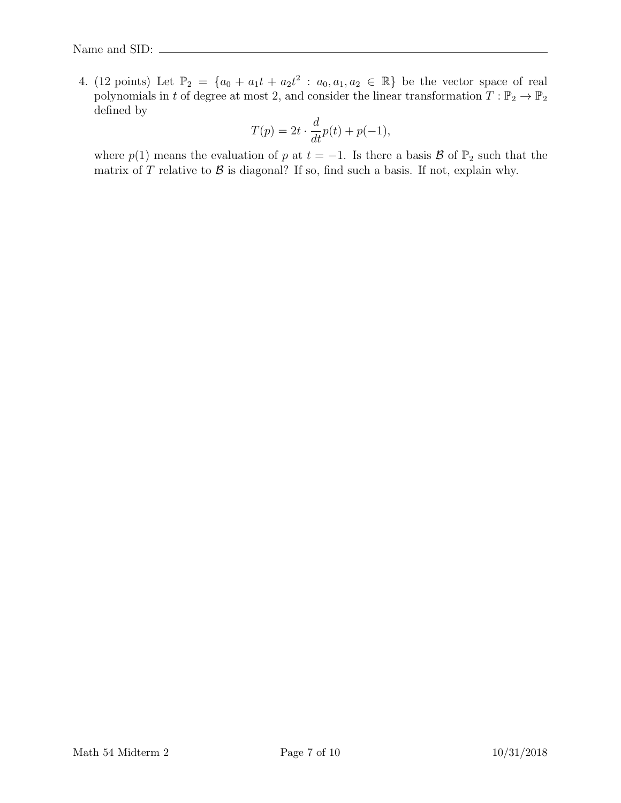4. (12 points) Let  $\mathbb{P}_2 = \{a_0 + a_1t + a_2t^2 : a_0, a_1, a_2 \in \mathbb{R}\}\$ be the vector space of real polynomials in t of degree at most 2, and consider the linear transformation  $T : \mathbb{P}_2 \to \mathbb{P}_2$ defined by

$$
T(p) = 2t \cdot \frac{d}{dt}p(t) + p(-1),
$$

where  $p(1)$  means the evaluation of p at  $t = -1$ . Is there a basis B of  $\mathbb{P}_2$  such that the matrix of  $T$  relative to  $\mathcal B$  is diagonal? If so, find such a basis. If not, explain why.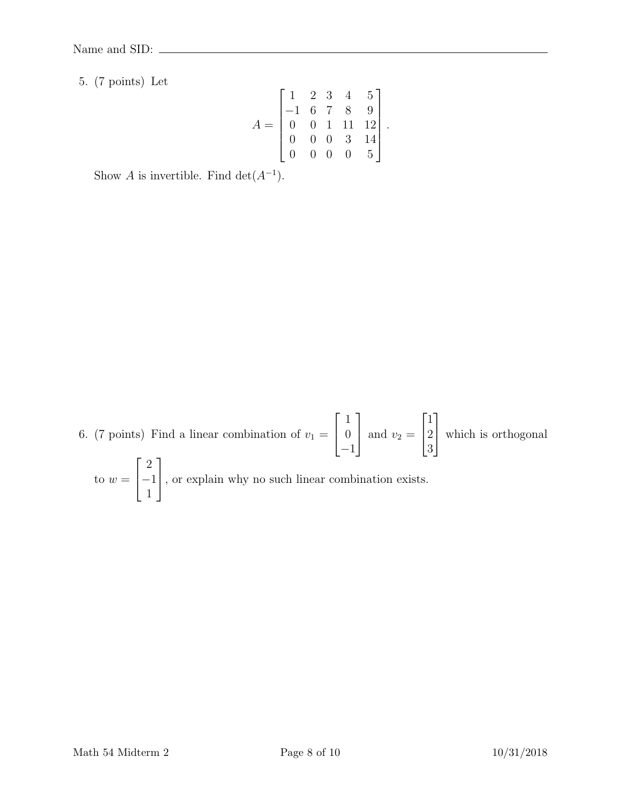5. (7 points) Let

$$
A = \begin{bmatrix} 1 & 2 & 3 & 4 & 5 \\ -1 & 6 & 7 & 8 & 9 \\ 0 & 0 & 1 & 11 & 12 \\ 0 & 0 & 0 & 3 & 14 \\ 0 & 0 & 0 & 0 & 5 \end{bmatrix}
$$

.

Show A is invertible. Find  $\det(A^{-1})$ .

6. (7 points) Find a linear combination of  $v_1 =$  $\sqrt{ }$  $\overline{1}$ 1 0 −1 1 and  $v_2 =$  $\sqrt{ }$  $\vert$ 1 2 3 1 which is orthogonal to  $w =$  $\lceil$  $\overline{1}$ 2 −1 1 1 , or explain why no such linear combination exists.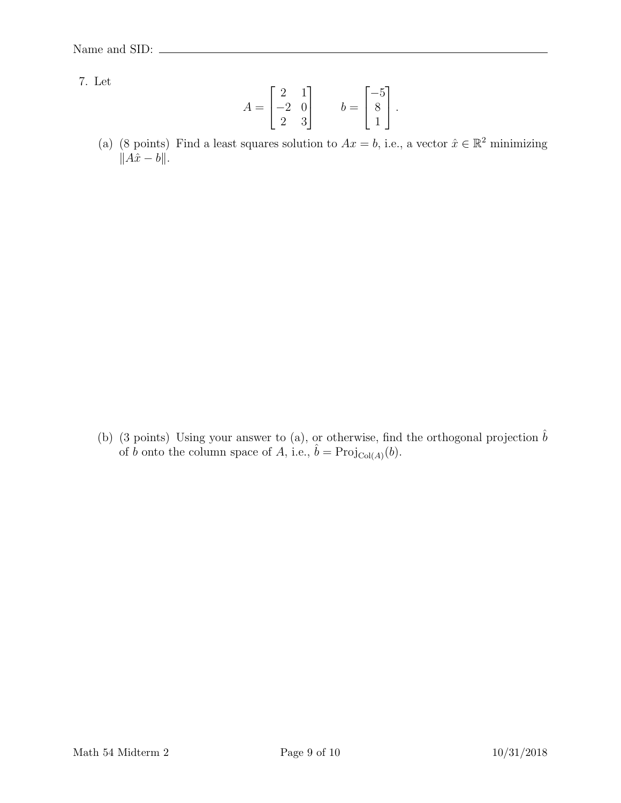7. Let

$$
A = \begin{bmatrix} 2 & 1 \\ -2 & 0 \\ 2 & 3 \end{bmatrix} \qquad b = \begin{bmatrix} -5 \\ 8 \\ 1 \end{bmatrix}.
$$

(a) (8 points) Find a least squares solution to  $Ax = b$ , i.e., a vector  $\hat{x} \in \mathbb{R}^2$  minimizing  $\|\hat{A}\hat{x} - b\|.$ 

(b) (3 points) Using your answer to (a), or otherwise, find the orthogonal projection  $\hat{b}$ of b onto the column space of A, i.e.,  $\hat{b} = \text{Proj}_{\text{Col}(A)}(b)$ .